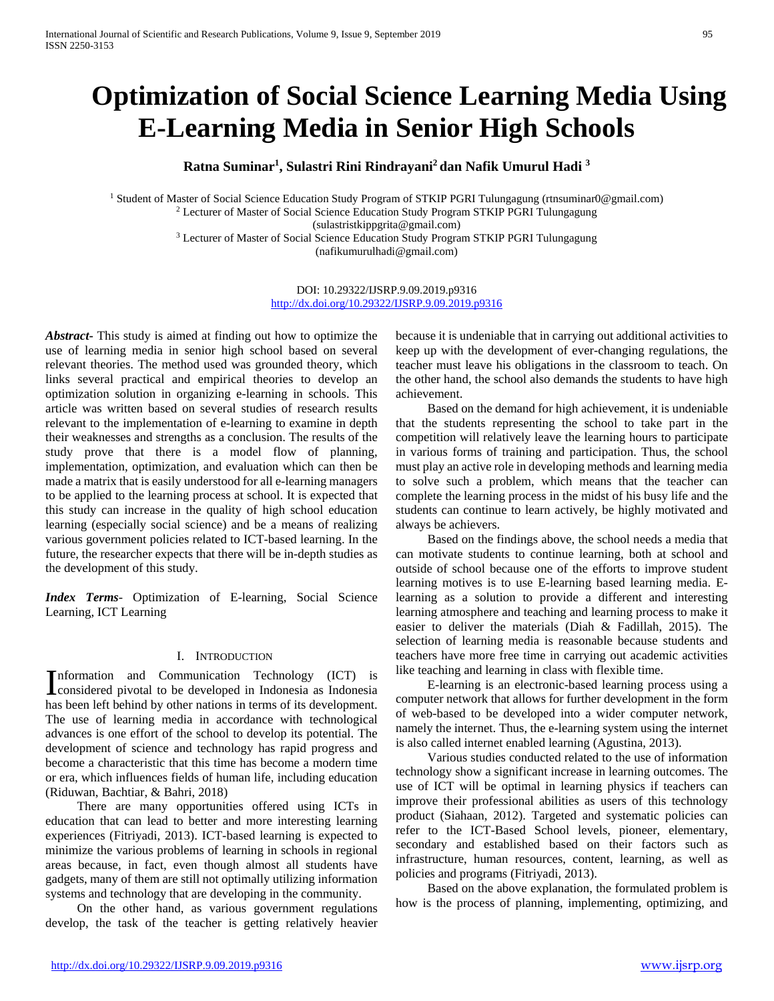# **Optimization of Social Science Learning Media Using E-Learning Media in Senior High Schools**

**Ratna Suminar1 , Sulastri Rini Rindrayani2 dan Nafik Umurul Hadi 3**

<sup>1</sup> Student of Master of Social Science Education Study Program of STKIP PGRI Tulungagung (rtnsuminar0@gmail.com) <sup>2</sup> Lecturer of Master of Social Science Education Study Program STKIP PGRI Tulungagung (sulastristkippgrita@gmail.com) <sup>3</sup> Lecturer of Master of Social Science Education Study Program STKIP PGRI Tulungagung (nafikumurulhadi@gmail.com)

> DOI: 10.29322/IJSRP.9.09.2019.p9316 <http://dx.doi.org/10.29322/IJSRP.9.09.2019.p9316>

*Abstract***-** This study is aimed at finding out how to optimize the use of learning media in senior high school based on several relevant theories. The method used was grounded theory, which links several practical and empirical theories to develop an optimization solution in organizing e-learning in schools. This article was written based on several studies of research results relevant to the implementation of e-learning to examine in depth their weaknesses and strengths as a conclusion. The results of the study prove that there is a model flow of planning, implementation, optimization, and evaluation which can then be made a matrix that is easily understood for all e-learning managers to be applied to the learning process at school. It is expected that this study can increase in the quality of high school education learning (especially social science) and be a means of realizing various government policies related to ICT-based learning. In the future, the researcher expects that there will be in-depth studies as the development of this study.

*Index Terms*- Optimization of E-learning, Social Science Learning, ICT Learning

## I. INTRODUCTION

nformation and Communication Technology (ICT) is Information and Communication Technology (ICT) is<br>considered pivotal to be developed in Indonesia as Indonesia has been left behind by other nations in terms of its development. The use of learning media in accordance with technological advances is one effort of the school to develop its potential. The development of science and technology has rapid progress and become a characteristic that this time has become a modern time or era, which influences fields of human life, including education (Riduwan, Bachtiar, & Bahri, 2018)

 There are many opportunities offered using ICTs in education that can lead to better and more interesting learning experiences (Fitriyadi, 2013). ICT-based learning is expected to minimize the various problems of learning in schools in regional areas because, in fact, even though almost all students have gadgets, many of them are still not optimally utilizing information systems and technology that are developing in the community.

 On the other hand, as various government regulations develop, the task of the teacher is getting relatively heavier

because it is undeniable that in carrying out additional activities to keep up with the development of ever-changing regulations, the teacher must leave his obligations in the classroom to teach. On the other hand, the school also demands the students to have high achievement.

 Based on the demand for high achievement, it is undeniable that the students representing the school to take part in the competition will relatively leave the learning hours to participate in various forms of training and participation. Thus, the school must play an active role in developing methods and learning media to solve such a problem, which means that the teacher can complete the learning process in the midst of his busy life and the students can continue to learn actively, be highly motivated and always be achievers.

 Based on the findings above, the school needs a media that can motivate students to continue learning, both at school and outside of school because one of the efforts to improve student learning motives is to use E-learning based learning media. Elearning as a solution to provide a different and interesting learning atmosphere and teaching and learning process to make it easier to deliver the materials (Diah & Fadillah, 2015). The selection of learning media is reasonable because students and teachers have more free time in carrying out academic activities like teaching and learning in class with flexible time.

 E-learning is an electronic-based learning process using a computer network that allows for further development in the form of web-based to be developed into a wider computer network, namely the internet. Thus, the e-learning system using the internet is also called internet enabled learning (Agustina, 2013).

 Various studies conducted related to the use of information technology show a significant increase in learning outcomes. The use of ICT will be optimal in learning physics if teachers can improve their professional abilities as users of this technology product (Siahaan, 2012). Targeted and systematic policies can refer to the ICT-Based School levels, pioneer, elementary, secondary and established based on their factors such as infrastructure, human resources, content, learning, as well as policies and programs (Fitriyadi, 2013).

 Based on the above explanation, the formulated problem is how is the process of planning, implementing, optimizing, and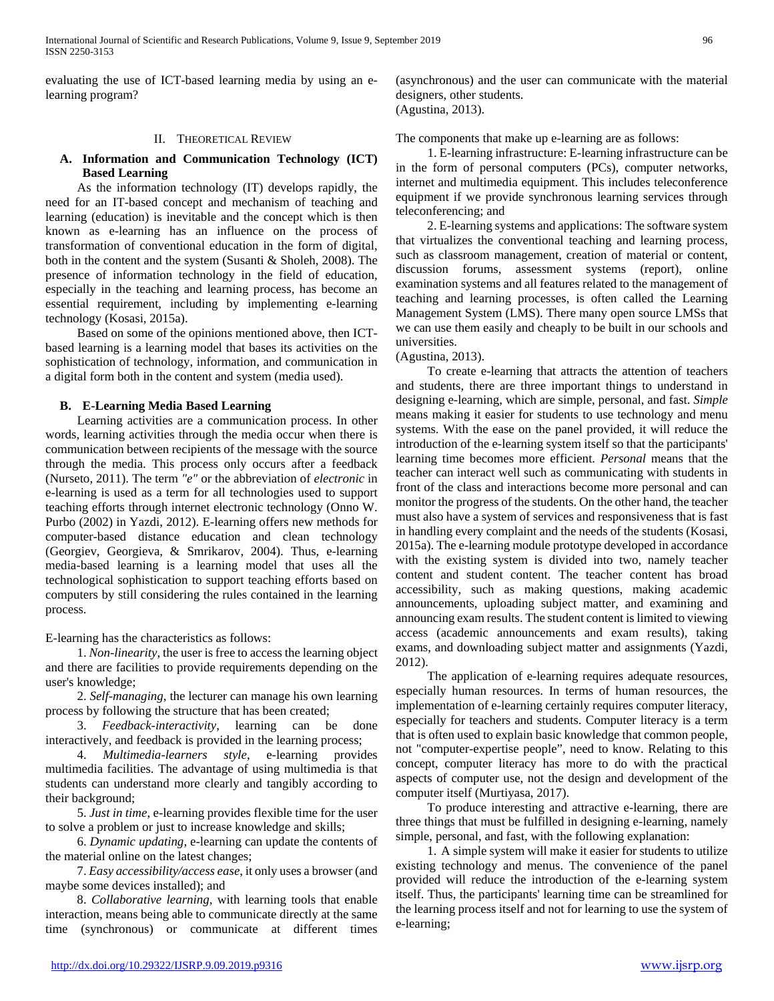evaluating the use of ICT-based learning media by using an elearning program?

#### II. THEORETICAL REVIEW

## **A. Information and Communication Technology (ICT) Based Learning**

 As the information technology (IT) develops rapidly, the need for an IT-based concept and mechanism of teaching and learning (education) is inevitable and the concept which is then known as e-learning has an influence on the process of transformation of conventional education in the form of digital, both in the content and the system (Susanti & Sholeh, 2008). The presence of information technology in the field of education, especially in the teaching and learning process, has become an essential requirement, including by implementing e-learning technology (Kosasi, 2015a).

 Based on some of the opinions mentioned above, then ICTbased learning is a learning model that bases its activities on the sophistication of technology, information, and communication in a digital form both in the content and system (media used).

## **B. E-Learning Media Based Learning**

 Learning activities are a communication process. In other words, learning activities through the media occur when there is communication between recipients of the message with the source through the media. This process only occurs after a feedback (Nurseto, 2011). The term *"e"* or the abbreviation of *electronic* in e-learning is used as a term for all technologies used to support teaching efforts through internet electronic technology (Onno W. Purbo (2002) in Yazdi, 2012). E-learning offers new methods for computer-based distance education and clean technology (Georgiev, Georgieva, & Smrikarov, 2004). Thus, e-learning media-based learning is a learning model that uses all the technological sophistication to support teaching efforts based on computers by still considering the rules contained in the learning process.

E-learning has the characteristics as follows:

 1. *Non-linearity*, the user is free to access the learning object and there are facilities to provide requirements depending on the user's knowledge;

 2. *Self-managing*, the lecturer can manage his own learning process by following the structure that has been created;

 3. *Feedback-interactivity*, learning can be done interactively, and feedback is provided in the learning process;

 4. *Multimedia-learners style*, e-learning provides multimedia facilities. The advantage of using multimedia is that students can understand more clearly and tangibly according to their background;

 5. *Just in time*, e-learning provides flexible time for the user to solve a problem or just to increase knowledge and skills;

 6. *Dynamic updating*, e-learning can update the contents of the material online on the latest changes;

 7. *Easy accessibility/access ease*, it only uses a browser (and maybe some devices installed); and

 8. *Collaborative learning*, with learning tools that enable interaction, means being able to communicate directly at the same time (synchronous) or communicate at different times

(asynchronous) and the user can communicate with the material designers, other students. (Agustina, 2013).

The components that make up e-learning are as follows:

 1. E-learning infrastructure: E-learning infrastructure can be in the form of personal computers (PCs), computer networks, internet and multimedia equipment. This includes teleconference equipment if we provide synchronous learning services through teleconferencing; and

 2. E-learning systems and applications: The software system that virtualizes the conventional teaching and learning process, such as classroom management, creation of material or content, discussion forums, assessment systems (report), online examination systems and all features related to the management of teaching and learning processes, is often called the Learning Management System (LMS). There many open source LMSs that we can use them easily and cheaply to be built in our schools and universities.

(Agustina, 2013).

 To create e-learning that attracts the attention of teachers and students, there are three important things to understand in designing e-learning, which are simple, personal, and fast. *Simple* means making it easier for students to use technology and menu systems. With the ease on the panel provided, it will reduce the introduction of the e-learning system itself so that the participants' learning time becomes more efficient. *Personal* means that the teacher can interact well such as communicating with students in front of the class and interactions become more personal and can monitor the progress of the students. On the other hand, the teacher must also have a system of services and responsiveness that is fast in handling every complaint and the needs of the students (Kosasi, 2015a). The e-learning module prototype developed in accordance with the existing system is divided into two, namely teacher content and student content. The teacher content has broad accessibility, such as making questions, making academic announcements, uploading subject matter, and examining and announcing exam results. The student content is limited to viewing access (academic announcements and exam results), taking exams, and downloading subject matter and assignments (Yazdi, 2012).

 The application of e-learning requires adequate resources, especially human resources. In terms of human resources, the implementation of e-learning certainly requires computer literacy, especially for teachers and students. Computer literacy is a term that is often used to explain basic knowledge that common people, not "computer-expertise people", need to know. Relating to this concept, computer literacy has more to do with the practical aspects of computer use, not the design and development of the computer itself (Murtiyasa, 2017).

 To produce interesting and attractive e-learning, there are three things that must be fulfilled in designing e-learning, namely simple, personal, and fast, with the following explanation:

 1. A simple system will make it easier for students to utilize existing technology and menus. The convenience of the panel provided will reduce the introduction of the e-learning system itself. Thus, the participants' learning time can be streamlined for the learning process itself and not for learning to use the system of e-learning;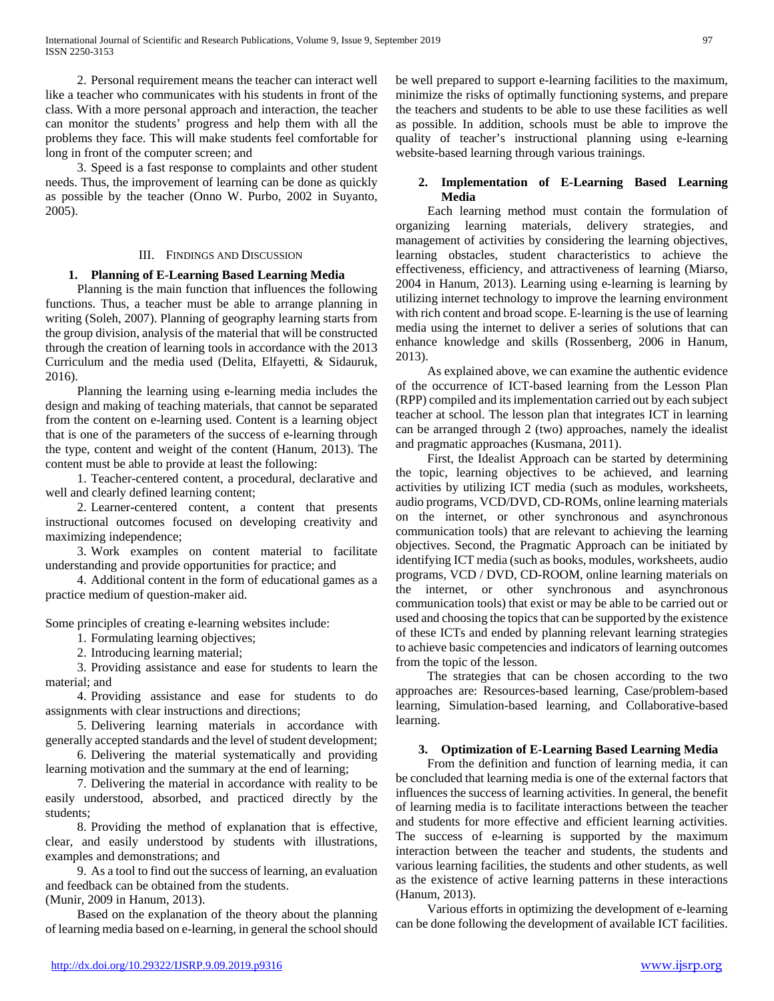2. Personal requirement means the teacher can interact well like a teacher who communicates with his students in front of the class. With a more personal approach and interaction, the teacher can monitor the students' progress and help them with all the problems they face. This will make students feel comfortable for long in front of the computer screen; and

 3. Speed is a fast response to complaints and other student needs. Thus, the improvement of learning can be done as quickly as possible by the teacher (Onno W. Purbo, 2002 in Suyanto, 2005).

#### III. FINDINGS AND DISCUSSION

## **1. Planning of E-Learning Based Learning Media**

 Planning is the main function that influences the following functions. Thus, a teacher must be able to arrange planning in writing (Soleh, 2007). Planning of geography learning starts from the group division, analysis of the material that will be constructed through the creation of learning tools in accordance with the 2013 Curriculum and the media used (Delita, Elfayetti, & Sidauruk, 2016).

 Planning the learning using e-learning media includes the design and making of teaching materials, that cannot be separated from the content on e-learning used. Content is a learning object that is one of the parameters of the success of e-learning through the type, content and weight of the content (Hanum, 2013). The content must be able to provide at least the following:

 1. Teacher-centered content, a procedural, declarative and well and clearly defined learning content;

 2. Learner-centered content, a content that presents instructional outcomes focused on developing creativity and maximizing independence;

 3. Work examples on content material to facilitate understanding and provide opportunities for practice; and

 4. Additional content in the form of educational games as a practice medium of question-maker aid.

Some principles of creating e-learning websites include:

1. Formulating learning objectives;

2. Introducing learning material;

 3. Providing assistance and ease for students to learn the material; and

 4. Providing assistance and ease for students to do assignments with clear instructions and directions;

 5. Delivering learning materials in accordance with generally accepted standards and the level of student development;

 6. Delivering the material systematically and providing learning motivation and the summary at the end of learning;

 7. Delivering the material in accordance with reality to be easily understood, absorbed, and practiced directly by the students;

 8. Providing the method of explanation that is effective, clear, and easily understood by students with illustrations, examples and demonstrations; and

 9. As a tool to find out the success of learning, an evaluation and feedback can be obtained from the students.

(Munir, 2009 in Hanum, 2013).

 Based on the explanation of the theory about the planning of learning media based on e-learning, in general the school should be well prepared to support e-learning facilities to the maximum, minimize the risks of optimally functioning systems, and prepare the teachers and students to be able to use these facilities as well as possible. In addition, schools must be able to improve the quality of teacher's instructional planning using e-learning website-based learning through various trainings.

## **2. Implementation of E-Learning Based Learning Media**

 Each learning method must contain the formulation of organizing learning materials, delivery strategies, and management of activities by considering the learning objectives, learning obstacles, student characteristics to achieve the effectiveness, efficiency, and attractiveness of learning (Miarso, 2004 in Hanum, 2013). Learning using e-learning is learning by utilizing internet technology to improve the learning environment with rich content and broad scope. E-learning is the use of learning media using the internet to deliver a series of solutions that can enhance knowledge and skills (Rossenberg, 2006 in Hanum, 2013).

 As explained above, we can examine the authentic evidence of the occurrence of ICT-based learning from the Lesson Plan (RPP) compiled and its implementation carried out by each subject teacher at school. The lesson plan that integrates ICT in learning can be arranged through 2 (two) approaches, namely the idealist and pragmatic approaches (Kusmana, 2011).

 First, the Idealist Approach can be started by determining the topic, learning objectives to be achieved, and learning activities by utilizing ICT media (such as modules, worksheets, audio programs, VCD/DVD, CD-ROMs, online learning materials on the internet, or other synchronous and asynchronous communication tools) that are relevant to achieving the learning objectives. Second, the Pragmatic Approach can be initiated by identifying ICT media (such as books, modules, worksheets, audio programs, VCD / DVD, CD-ROOM, online learning materials on the internet, or other synchronous and asynchronous communication tools) that exist or may be able to be carried out or used and choosing the topics that can be supported by the existence of these ICTs and ended by planning relevant learning strategies to achieve basic competencies and indicators of learning outcomes from the topic of the lesson.

 The strategies that can be chosen according to the two approaches are: Resources-based learning, Case/problem-based learning, Simulation-based learning, and Collaborative-based learning.

## **3. Optimization of E-Learning Based Learning Media**

 From the definition and function of learning media, it can be concluded that learning media is one of the external factors that influences the success of learning activities. In general, the benefit of learning media is to facilitate interactions between the teacher and students for more effective and efficient learning activities. The success of e-learning is supported by the maximum interaction between the teacher and students, the students and various learning facilities, the students and other students, as well as the existence of active learning patterns in these interactions (Hanum, 2013).

 Various efforts in optimizing the development of e-learning can be done following the development of available ICT facilities.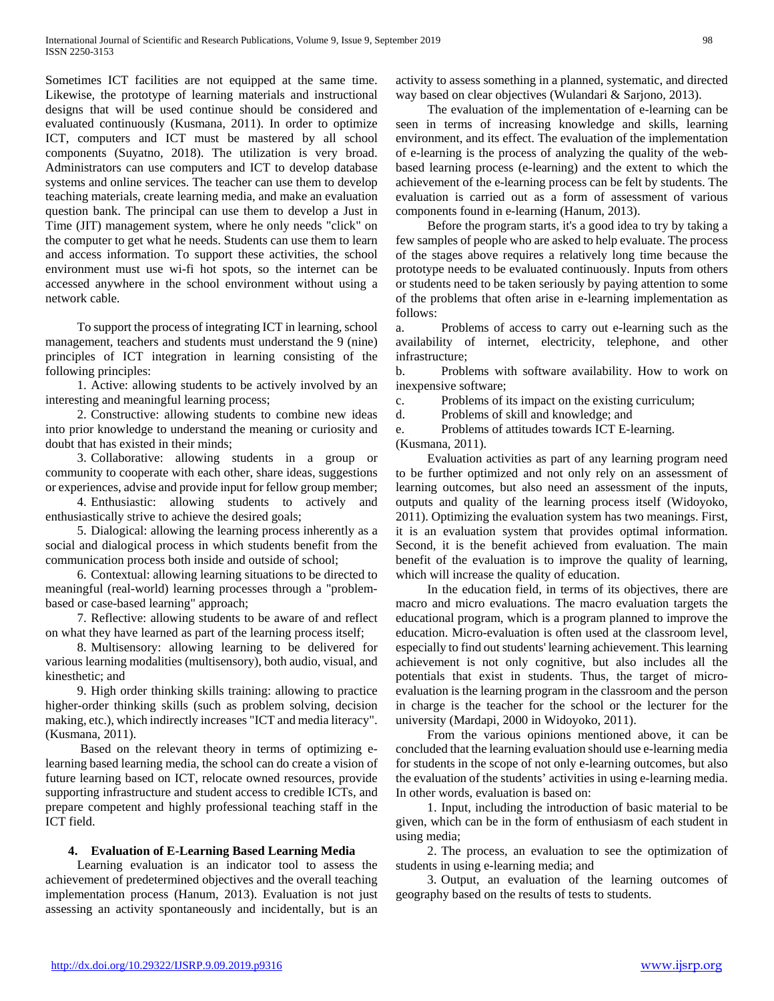Sometimes ICT facilities are not equipped at the same time. Likewise, the prototype of learning materials and instructional designs that will be used continue should be considered and evaluated continuously (Kusmana, 2011). In order to optimize ICT, computers and ICT must be mastered by all school components (Suyatno, 2018). The utilization is very broad. Administrators can use computers and ICT to develop database systems and online services. The teacher can use them to develop teaching materials, create learning media, and make an evaluation question bank. The principal can use them to develop a Just in Time (JIT) management system, where he only needs "click" on the computer to get what he needs. Students can use them to learn and access information. To support these activities, the school environment must use wi-fi hot spots, so the internet can be accessed anywhere in the school environment without using a network cable.

 To support the process of integrating ICT in learning, school management, teachers and students must understand the 9 (nine) principles of ICT integration in learning consisting of the following principles:

 1. Active: allowing students to be actively involved by an interesting and meaningful learning process;

 2. Constructive: allowing students to combine new ideas into prior knowledge to understand the meaning or curiosity and doubt that has existed in their minds;

 3. Collaborative: allowing students in a group or community to cooperate with each other, share ideas, suggestions or experiences, advise and provide input for fellow group member;

 4. Enthusiastic: allowing students to actively and enthusiastically strive to achieve the desired goals;

 5. Dialogical: allowing the learning process inherently as a social and dialogical process in which students benefit from the communication process both inside and outside of school;

 6. Contextual: allowing learning situations to be directed to meaningful (real-world) learning processes through a "problembased or case-based learning" approach;

 7. Reflective: allowing students to be aware of and reflect on what they have learned as part of the learning process itself;

 8. Multisensory: allowing learning to be delivered for various learning modalities (multisensory), both audio, visual, and kinesthetic; and

 9. High order thinking skills training: allowing to practice higher-order thinking skills (such as problem solving, decision making, etc.), which indirectly increases "ICT and media literacy". (Kusmana, 2011).

 Based on the relevant theory in terms of optimizing elearning based learning media, the school can do create a vision of future learning based on ICT, relocate owned resources, provide supporting infrastructure and student access to credible ICTs, and prepare competent and highly professional teaching staff in the ICT field.

## **4. Evaluation of E-Learning Based Learning Media**

 Learning evaluation is an indicator tool to assess the achievement of predetermined objectives and the overall teaching implementation process (Hanum, 2013). Evaluation is not just assessing an activity spontaneously and incidentally, but is an activity to assess something in a planned, systematic, and directed way based on clear objectives (Wulandari & Sarjono, 2013).

 The evaluation of the implementation of e-learning can be seen in terms of increasing knowledge and skills, learning environment, and its effect. The evaluation of the implementation of e-learning is the process of analyzing the quality of the webbased learning process (e-learning) and the extent to which the achievement of the e-learning process can be felt by students. The evaluation is carried out as a form of assessment of various components found in e-learning (Hanum, 2013).

 Before the program starts, it's a good idea to try by taking a few samples of people who are asked to help evaluate. The process of the stages above requires a relatively long time because the prototype needs to be evaluated continuously. Inputs from others or students need to be taken seriously by paying attention to some of the problems that often arise in e-learning implementation as follows:

a. Problems of access to carry out e-learning such as the availability of internet, electricity, telephone, and other infrastructure;

b. Problems with software availability. How to work on inexpensive software;

c. Problems of its impact on the existing curriculum;

d. Problems of skill and knowledge; and

e. Problems of attitudes towards ICT E-learning. (Kusmana, 2011).

 Evaluation activities as part of any learning program need to be further optimized and not only rely on an assessment of learning outcomes, but also need an assessment of the inputs, outputs and quality of the learning process itself (Widoyoko, 2011). Optimizing the evaluation system has two meanings. First, it is an evaluation system that provides optimal information. Second, it is the benefit achieved from evaluation. The main benefit of the evaluation is to improve the quality of learning, which will increase the quality of education.

 In the education field, in terms of its objectives, there are macro and micro evaluations. The macro evaluation targets the educational program, which is a program planned to improve the education. Micro-evaluation is often used at the classroom level, especially to find out students' learning achievement. This learning achievement is not only cognitive, but also includes all the potentials that exist in students. Thus, the target of microevaluation is the learning program in the classroom and the person in charge is the teacher for the school or the lecturer for the university (Mardapi, 2000 in Widoyoko, 2011).

 From the various opinions mentioned above, it can be concluded that the learning evaluation should use e-learning media for students in the scope of not only e-learning outcomes, but also the evaluation of the students' activities in using e-learning media. In other words, evaluation is based on:

 1. Input, including the introduction of basic material to be given, which can be in the form of enthusiasm of each student in using media;

 2. The process, an evaluation to see the optimization of students in using e-learning media; and

 3. Output, an evaluation of the learning outcomes of geography based on the results of tests to students.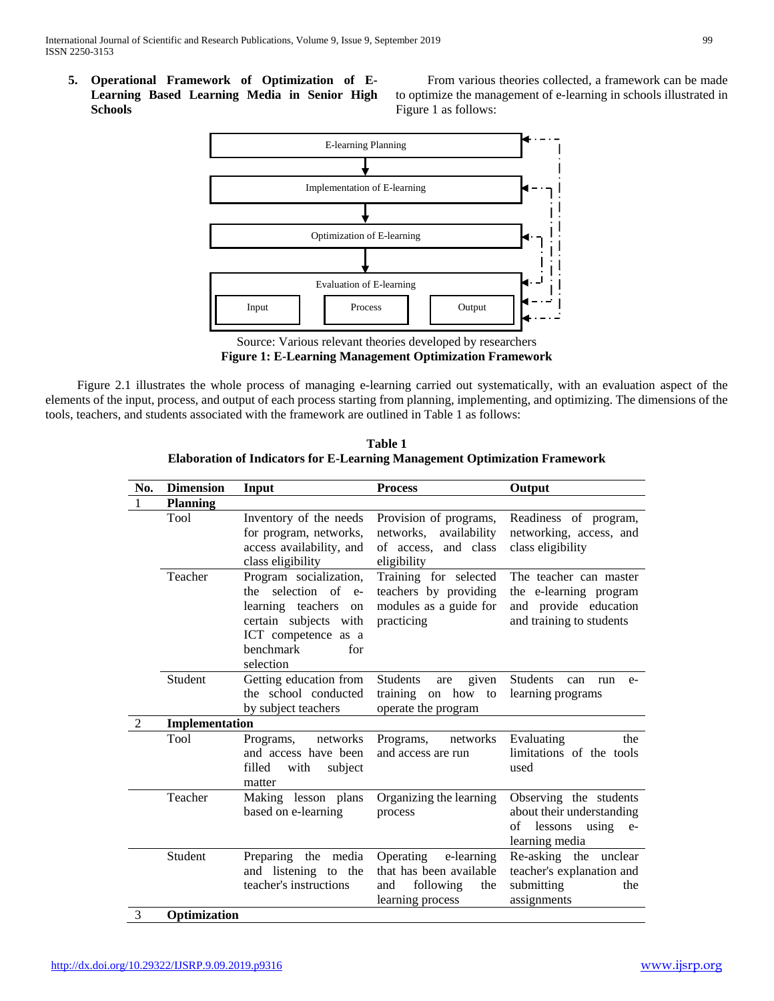**5. Operational Framework of Optimization of E-Learning Based Learning Media in Senior High Schools**

 From various theories collected, a framework can be made to optimize the management of e-learning in schools illustrated in Figure 1 as follows:



Source: Various relevant theories developed by researchers **Figure 1: E-Learning Management Optimization Framework**

 Figure 2.1 illustrates the whole process of managing e-learning carried out systematically, with an evaluation aspect of the elements of the input, process, and output of each process starting from planning, implementing, and optimizing. The dimensions of the tools, teachers, and students associated with the framework are outlined in Table 1 as follows:

**Table 1 Elaboration of Indicators for E-Learning Management Optimization Framework**

| No.            | <b>Dimension</b> | Input                                                                                                                                                     | <b>Process</b>                                                                                    | Output                                                                                                  |
|----------------|------------------|-----------------------------------------------------------------------------------------------------------------------------------------------------------|---------------------------------------------------------------------------------------------------|---------------------------------------------------------------------------------------------------------|
| 1              | <b>Planning</b>  |                                                                                                                                                           |                                                                                                   |                                                                                                         |
|                | Tool             | Inventory of the needs<br>for program, networks,<br>access availability, and<br>class eligibility                                                         | Provision of programs,<br>networks, availability<br>of access, and class<br>eligibility           | Readiness of program,<br>networking, access, and<br>class eligibility                                   |
|                | Teacher          | Program socialization,<br>the selection of e-<br>learning teachers<br>on<br>certain subjects with<br>ICT competence as a<br>benchmark<br>for<br>selection | Training for selected<br>teachers by providing<br>modules as a guide for<br>practicing            | The teacher can master<br>the e-learning program<br>and provide education<br>and training to students   |
|                | Student          | Getting education from<br>the school conducted<br>by subject teachers                                                                                     | <b>Students</b><br>given<br>are<br>training on how<br>to<br>operate the program                   | Students<br>can<br>run<br>$e-$<br>learning programs                                                     |
| $\overline{2}$ | Implementation   |                                                                                                                                                           |                                                                                                   |                                                                                                         |
|                | Tool             | networks<br>Programs,<br>and access have been<br>filled<br>with<br>subject<br>matter                                                                      | networks<br>Programs,<br>and access are run                                                       | Evaluating<br>the<br>limitations of the tools<br>used                                                   |
|                | Teacher          | Making lesson plans<br>based on e-learning                                                                                                                | Organizing the learning<br>process                                                                | Observing the students<br>about their understanding<br>of<br>lessons<br>using<br>$e-$<br>learning media |
|                | Student          | Preparing the media<br>and listening to the<br>teacher's instructions                                                                                     | Operating<br>e-learning<br>that has been available<br>following<br>the<br>and<br>learning process | Re-asking the unclear<br>teacher's explanation and<br>submitting<br>the<br>assignments                  |
| 3              | Optimization     |                                                                                                                                                           |                                                                                                   |                                                                                                         |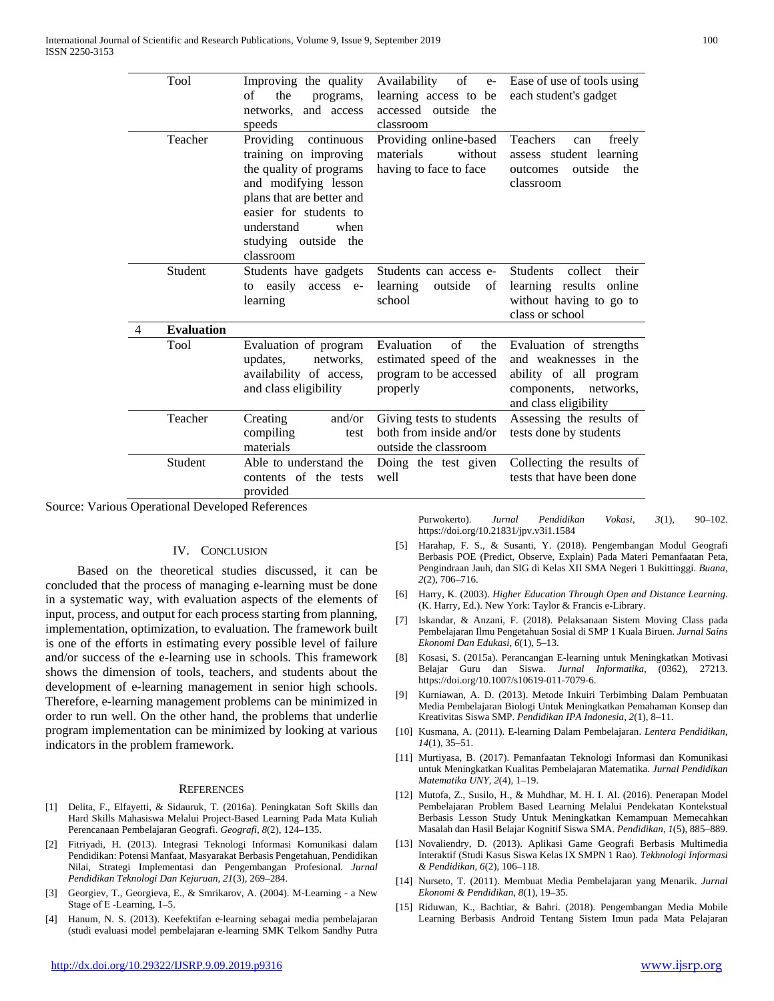|   | Tool              | Improving the quality<br>of<br>the<br>programs,<br>and access<br>networks.<br>speeds                                                                                                                                  | of<br>Availability<br>$e-$<br>learning access to be<br>accessed outside<br>the<br>classroom | Ease of use of tools using<br>each student's gadget                                                                          |
|---|-------------------|-----------------------------------------------------------------------------------------------------------------------------------------------------------------------------------------------------------------------|---------------------------------------------------------------------------------------------|------------------------------------------------------------------------------------------------------------------------------|
|   | Teacher           | Providing<br>continuous<br>training on improving<br>the quality of programs<br>and modifying lesson<br>plans that are better and<br>easier for students to<br>understand<br>when<br>studying outside the<br>classroom | Providing online-based<br>materials<br>without<br>having to face to face                    | <b>Teachers</b><br>freely<br>can<br>assess student learning<br>outside<br>the<br>outcomes<br>classroom                       |
|   | Student           | Students have gadgets<br>easily<br>access e-<br>to<br>learning                                                                                                                                                        | Students can access e-<br>learning<br>outside<br>οf<br>school                               | <b>Students</b><br>their<br>collect<br>learning results online<br>without having to go to<br>class or school                 |
| 4 | <b>Evaluation</b> |                                                                                                                                                                                                                       |                                                                                             |                                                                                                                              |
|   | Tool              | Evaluation of program<br>updates.<br>networks.<br>availability of access,<br>and class eligibility                                                                                                                    | Evaluation<br>of<br>the<br>estimated speed of the<br>program to be accessed<br>properly     | Evaluation of strengths<br>and weaknesses in the<br>ability of all program<br>components, networks,<br>and class eligibility |
|   | Teacher           | and/or<br>Creating<br>compiling<br>test<br>materials                                                                                                                                                                  | Giving tests to students<br>both from inside and/or<br>outside the classroom                | Assessing the results of<br>tests done by students                                                                           |
|   | Student           | Able to understand the<br>contents of the tests<br>provided                                                                                                                                                           | Doing the test given<br>well                                                                | Collecting the results of<br>tests that have been done                                                                       |
|   | $\sim$            |                                                                                                                                                                                                                       |                                                                                             |                                                                                                                              |

Source: Various Operational Developed References

#### IV. CONCLUSION

 Based on the theoretical studies discussed, it can be concluded that the process of managing e-learning must be done in a systematic way, with evaluation aspects of the elements of input, process, and output for each process starting from planning, implementation, optimization, to evaluation. The framework built is one of the efforts in estimating every possible level of failure and/or success of the e-learning use in schools. This framework shows the dimension of tools, teachers, and students about the development of e-learning management in senior high schools. Therefore, e-learning management problems can be minimized in order to run well. On the other hand, the problems that underlie program implementation can be minimized by looking at various indicators in the problem framework.

#### **REFERENCES**

- [1] Delita, F., Elfayetti, & Sidauruk, T. (2016a). Peningkatan Soft Skills dan Hard Skills Mahasiswa Melalui Project-Based Learning Pada Mata Kuliah Perencanaan Pembelajaran Geografi. *Geografi*, *8*(2), 124–135.
- [2] Fitriyadi, H. (2013). Integrasi Teknologi Informasi Komunikasi dalam Pendidikan: Potensi Manfaat, Masyarakat Berbasis Pengetahuan, Pendidikan Nilai, Strategi Implementasi dan Pengembangan Profesional. *Jurnal Pendidikan Teknologi Dan Kejuruan*, *21*(3), 269–284.
- [3] Georgiev, T., Georgieva, E., & Smrikarov, A. (2004). M-Learning a New Stage of Е -Learning, 1–5.
- [4] Hanum, N. S. (2013). Keefektifan e-learning sebagai media pembelajaran (studi evaluasi model pembelajaran e-learning SMK Telkom Sandhy Putra

Purwokerto). *Jurnal Pendidikan Vokasi*, *3*(1), 90–102. https://doi.org/10.21831/jpv.v3i1.1584

- [5] Harahap, F. S., & Susanti, Y. (2018). Pengembangan Modul Geografi Berbasis POE (Predict, Observe, Explain) Pada Materi Pemanfaatan Peta, Pengindraan Jauh, dan SIG di Kelas XII SMA Negeri 1 Bukittinggi. *Buana*, *2*(2), 706–716.
- [6] Harry, K. (2003). *Higher Education Through Open and Distance Learning*. (K. Harry, Ed.). New York: Taylor & Francis e-Library.
- [7] Iskandar, & Anzani, F. (2018). Pelaksanaan Sistem Moving Class pada Pembelajaran Ilmu Pengetahuan Sosial di SMP 1 Kuala Biruen. *Jurnal Sains Ekonomi Dan Edukasi*, *6*(1), 5–13.
- [8] Kosasi, S. (2015a). Perancangan E-learning untuk Meningkatkan Motivasi Belajar Guru dan Siswa. *Jurnal Informatika*, (0362), 27213. https://doi.org/10.1007/s10619-011-7079-6.
- [9] Kurniawan, A. D. (2013). Metode Inkuiri Terbimbing Dalam Pembuatan Media Pembelajaran Biologi Untuk Meningkatkan Pemahaman Konsep dan Kreativitas Siswa SMP. *Pendidikan IPA Indonesia*, *2*(1), 8–11.
- [10] Kusmana, A. (2011). E-learning Dalam Pembelajaran. *Lentera Pendidikan*, *14*(1), 35–51.
- [11] Murtiyasa, B. (2017). Pemanfaatan Teknologi Informasi dan Komunikasi untuk Meningkatkan Kualitas Pembelajaran Matematika. *Jurnal Pendidikan Matematika UNY*, *2*(4), 1–19.
- [12] Mutofa, Z., Susilo, H., & Muhdhar, M. H. I. Al. (2016). Penerapan Model Pembelajaran Problem Based Learning Melalui Pendekatan Kontekstual Berbasis Lesson Study Untuk Meningkatkan Kemampuan Memecahkan Masalah dan Hasil Belajar Kognitif Siswa SMA. *Pendidikan*, *1*(5), 885–889.
- [13] Novaliendry, D. (2013). Aplikasi Game Geografi Berbasis Multimedia Interaktif (Studi Kasus Siswa Kelas IX SMPN 1 Rao). *Tekhnologi Informasi & Pendidikan*, *6*(2), 106–118.
- [14] Nurseto, T. (2011). Membuat Media Pembelajaran yang Menarik. *Jurnal Ekonomi & Pendidikan*, *8*(1), 19–35.
- [15] Riduwan, K., Bachtiar, & Bahri. (2018). Pengembangan Media Mobile Learning Berbasis Android Tentang Sistem Imun pada Mata Pelajaran